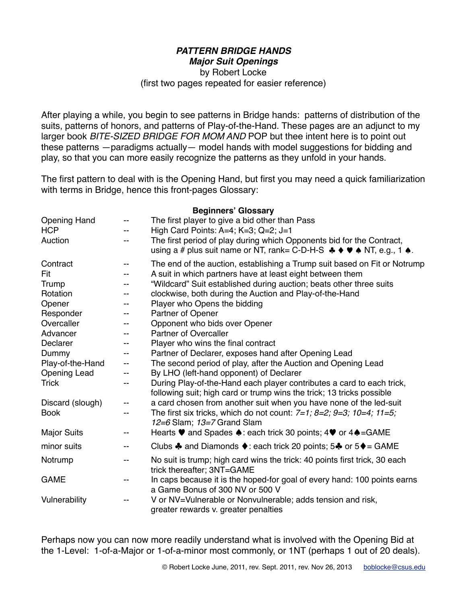#### *PATTERN BRIDGE HANDS Major Suit Openings*

by Robert Locke

(first two pages repeated for easier reference)

After playing a while, you begin to see patterns in Bridge hands: patterns of distribution of the suits, patterns of honors, and patterns of Play-of-the-Hand. These pages are an adjunct to my larger book *BITE-SIZED BRIDGE FOR MOM AND* POP but thee intent here is to point out these patterns —paradigms actually— model hands with model suggestions for bidding and play, so that you can more easily recognize the patterns as they unfold in your hands.

The first pattern to deal with is the Opening Hand, but first you may need a quick familiarization with terms in Bridge, hence this front-pages Glossary:

**Beginners' Glossary**

|                     |    | <b>Deginiers Glossary</b>                                                                                                                                                                                   |
|---------------------|----|-------------------------------------------------------------------------------------------------------------------------------------------------------------------------------------------------------------|
| <b>Opening Hand</b> |    | The first player to give a bid other than Pass                                                                                                                                                              |
| <b>HCP</b>          |    | High Card Points: A=4; K=3; Q=2; J=1                                                                                                                                                                        |
| Auction             |    | The first period of play during which Opponents bid for the Contract,<br>using a # plus suit name or NT, rank= C-D-H-S $\clubsuit \spadesuit \spadesuit \spadesuit \blacksquare$ NT, e.g., 1 $\spadesuit$ . |
| Contract            | -- | The end of the auction, establishing a Trump suit based on Fit or Notrump                                                                                                                                   |
| Fit                 |    | A suit in which partners have at least eight between them                                                                                                                                                   |
| Trump               |    | "Wildcard" Suit established during auction; beats other three suits                                                                                                                                         |
| Rotation            | -- | clockwise, both during the Auction and Play-of-the-Hand                                                                                                                                                     |
| Opener              |    | Player who Opens the bidding                                                                                                                                                                                |
| Responder           |    | Partner of Opener                                                                                                                                                                                           |
| Overcaller          | -- | Opponent who bids over Opener                                                                                                                                                                               |
| Advancer            |    | <b>Partner of Overcaller</b>                                                                                                                                                                                |
| Declarer            | -- | Player who wins the final contract                                                                                                                                                                          |
| Dummy               | -- | Partner of Declarer, exposes hand after Opening Lead                                                                                                                                                        |
| Play-of-the-Hand    | -- | The second period of play, after the Auction and Opening Lead                                                                                                                                               |
| <b>Opening Lead</b> |    | By LHO (left-hand opponent) of Declarer                                                                                                                                                                     |
| <b>Trick</b>        | -- | During Play-of-the-Hand each player contributes a card to each trick,<br>following suit; high card or trump wins the trick; 13 tricks possible                                                              |
| Discard (slough)    | -- | a card chosen from another suit when you have none of the led-suit                                                                                                                                          |
| <b>Book</b>         | -- | The first six tricks, which do not count: $7=1$ ; $8=2$ ; $9=3$ ; $10=4$ ; $11=5$ ;<br>$12=6$ Slam; $13=7$ Grand Slam                                                                                       |
| <b>Major Suits</b>  | -- | Hearts ♥ and Spades ♦: each trick 30 points; 4♥ or 4♦=GAME                                                                                                                                                  |
| minor suits         | -- | Clubs $\clubsuit$ and Diamonds $\blacklozenge$ : each trick 20 points; 5 $\clubsuit$ or 5 $\blacklozenge$ = GAME                                                                                            |
| Notrump             | -- | No suit is trump; high card wins the trick: 40 points first trick, 30 each<br>trick thereafter; 3NT=GAME                                                                                                    |
| <b>GAME</b>         |    | In caps because it is the hoped-for goal of every hand: 100 points earns<br>a Game Bonus of 300 NV or 500 V                                                                                                 |
| Vulnerability       |    | V or NV=Vulnerable or Nonvulnerable; adds tension and risk,<br>greater rewards v. greater penalties                                                                                                         |

Perhaps now you can now more readily understand what is involved with the Opening Bid at the 1-Level: 1-of-a-Major or 1-of-a-minor most commonly, or 1NT (perhaps 1 out of 20 deals).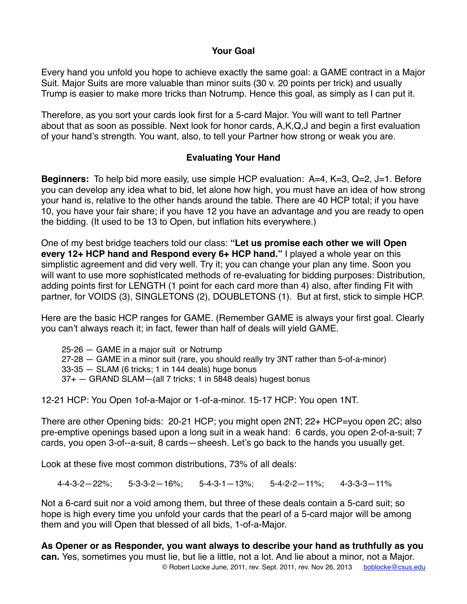# **Your Goal**

Every hand you unfold you hope to achieve exactly the same goal: a GAME contract in a Major Suit. Major Suits are more valuable than minor suits (30 v. 20 points per trick) and usually Trump is easier to make more tricks than Notrump. Hence this goal, as simply as I can put it.

Therefore, as you sort your cards look first for a 5-card Major. You will want to tell Partner about that as soon as possible. Next look for honor cards, A,K,Q,J and begin a first evaluation of your hand's strength. You want, also, to tell your Partner how strong or weak you are.

# **Evaluating Your Hand**

**Beginners:** To help bid more easily, use simple HCP evaluation: A=4, K=3, Q=2, J=1. Before you can develop any idea what to bid, let alone how high, you must have an idea of how strong your hand is, relative to the other hands around the table. There are 40 HCP total; if you have 10, you have your fair share; if you have 12 you have an advantage and you are ready to open the bidding. (It used to be 13 to Open, but inflation hits everywhere.)

One of my best bridge teachers told our class: **"Let us promise each other we will Open every 12+ HCP hand and Respond every 6+ HCP hand."** I played a whole year on this simplistic agreement and did very well. Try it; you can change your plan any time. Soon you will want to use more sophistIcated methods of re-evaluating for bidding purposes: Distribution, adding points first for LENGTH (1 point for each card more than 4) also, after finding Fit with partner, for VOIDS (3), SINGLETONS (2), DOUBLETONS (1). But at first, stick to simple HCP.

Here are the basic HCP ranges for GAME. (Remember GAME is always your first goal. Clearly you can't always reach it; in fact, fewer than half of deals will yield GAME.

25-26 — GAME in a major suit or Notrump 27-28 — GAME in a minor suit (rare, you should really try 3NT rather than 5-of-a-minor) 33-35 — SLAM (6 tricks; 1 in 144 deals) huge bonus 37+ — GRAND SLAM—(all 7 tricks; 1 in 5848 deals) hugest bonus

12-21 HCP: You Open 1of-a-Major or 1-of-a-minor. 15-17 HCP: You open 1NT.

There are other Opening bids: 20-21 HCP; you might open 2NT; 22+ HCP=you open 2C; also pre-emptive openings based upon a long suit in a weak hand: 6 cards, you open 2-of-a-suit; 7 cards, you open 3-of--a-suit, 8 cards—sheesh. Let's go back to the hands you usually get.

Look at these five most common distributions, 73% of all deals:

4-4-3-2—22%; 5-3-3-2—16%; 5-4-3-1—13%; 5-4-2-2—11%; 4-3-3-3—11%

Not a 6-card suit nor a void among them, but three of these deals contain a 5-card suit; so hope is high every time you unfold your cards that the pearl of a 5-card major will be among them and you will Open that blessed of all bids, 1-of-a-Major.

**As Opener or as Responder, you want always to describe your hand as truthfully as you can.** Yes, sometimes you must lie, but lie a little, not a lot. And lie about a minor, not a Major. © Robert Locke June, 2011, rev. Sept. 2011, rev. Nov 26, 2013 [boblocke@csus.edu](mailto:boblocke@csus.edu)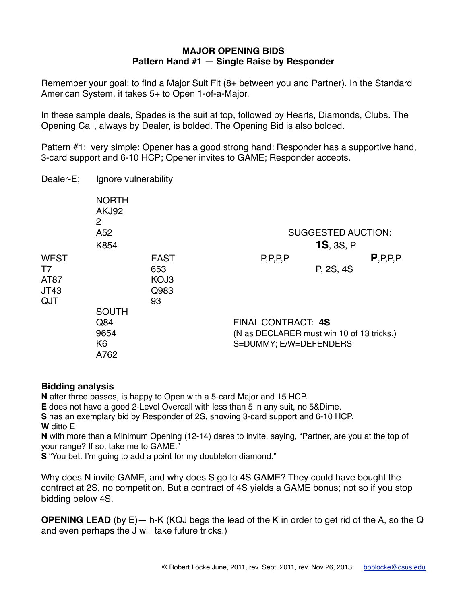### **MAJOR OPENING BIDS Pattern Hand #1 — Single Raise by Responder**

Remember your goal: to find a Major Suit Fit (8+ between you and Partner). In the Standard American System, it takes 5+ to Open 1-of-a-Major.

In these sample deals, Spades is the suit at top, followed by Hearts, Diamonds, Clubs. The Opening Call, always by Dealer, is bolded. The Opening Bid is also bolded.

Pattern #1: very simple: Opener has a good strong hand: Responder has a supportive hand, 3-card support and 6-10 HCP; Opener invites to GAME; Responder accepts.

| Dealer-E; | Ignore vulnerability |
|-----------|----------------------|
|-----------|----------------------|

|                                          | <b>NORTH</b><br>AKJ92<br>2<br>A52<br>K854             |                                          |                                                                                                  | <b>SUGGESTED AUCTION:</b><br><b>1S, 3S, P</b> |            |
|------------------------------------------|-------------------------------------------------------|------------------------------------------|--------------------------------------------------------------------------------------------------|-----------------------------------------------|------------|
| <b>WEST</b><br>T7<br>AT87<br>JT43<br>QJT |                                                       | <b>EAST</b><br>653<br>KOJ3<br>Q983<br>93 | P, P, P, P                                                                                       | P, 2S, 4S                                     | P, P, P, P |
|                                          | <b>SOUTH</b><br>Q84<br>9654<br>K <sub>6</sub><br>A762 |                                          | <b>FINAL CONTRACT: 4S</b><br>(N as DECLARER must win 10 of 13 tricks.)<br>S=DUMMY; E/W=DEFENDERS |                                               |            |

# **Bidding analysis**

**N** after three passes, is happy to Open with a 5-card Major and 15 HCP.

**E** does not have a good 2-Level Overcall with less than 5 in any suit, no 5&Dime.

**S** has an exemplary bid by Responder of 2S, showing 3-card support and 6-10 HCP. **W** ditto E

**N** with more than a Minimum Opening (12-14) dares to invite, saying, "Partner, are you at the top of your range? If so, take me to GAME."

**S** "You bet. I'm going to add a point for my doubleton diamond."

Why does N invite GAME, and why does S go to 4S GAME? They could have bought the contract at 2S, no competition. But a contract of 4S yields a GAME bonus; not so if you stop bidding below 4S.

**OPENING LEAD** (by E)— h-K (KQJ begs the lead of the K in order to get rid of the A, so the Q and even perhaps the J will take future tricks.)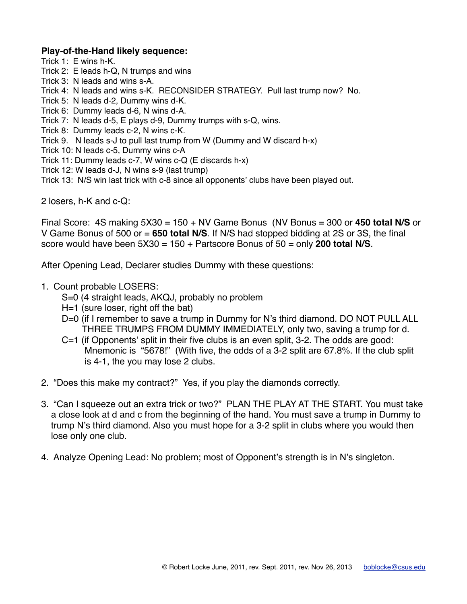### **Play-of-the-Hand likely sequence:**

- Trick 1: E wins h-K.
- Trick 2: E leads h-Q, N trumps and wins
- Trick 3: N leads and wins s-A.
- Trick 4: N leads and wins s-K. RECONSIDER STRATEGY. Pull last trump now? No.
- Trick 5: N leads d-2, Dummy wins d-K.
- Trick 6: Dummy leads d-6, N wins d-A.
- Trick 7: N leads d-5, E plays d-9, Dummy trumps with s-Q, wins.
- Trick 8: Dummy leads c-2, N wins c-K.
- Trick 9. N leads s-J to pull last trump from W (Dummy and W discard h-x)
- Trick 10: N leads c-5, Dummy wins c-A
- Trick 11: Dummy leads c-7, W wins c-Q (E discards h-x)
- Trick 12: W leads d-J, N wins s-9 (last trump)
- Trick 13: N/S win last trick with c-8 since all opponents' clubs have been played out.

2 losers, h-K and c-Q:

Final Score: 4S making 5X30 = 150 + NV Game Bonus (NV Bonus = 300 or **450 total N/S** or V Game Bonus of 500 or = **650 total N/S**. If N/S had stopped bidding at 2S or 3S, the final score would have been 5X30 = 150 + Partscore Bonus of 50 = only **200 total N/S**.

After Opening Lead, Declarer studies Dummy with these questions:

- 1. Count probable LOSERS:
	- S=0 (4 straight leads, AKQJ, probably no problem
	- H=1 (sure loser, right off the bat)
	- D=0 (if I remember to save a trump in Dummy for N's third diamond. DO NOT PULL ALL THREE TRUMPS FROM DUMMY IMMEDIATELY, only two, saving a trump for d.
	- C=1 (if Opponents' split in their five clubs is an even split, 3-2. The odds are good: Mnemonic is "5678!" (With five, the odds of a 3-2 split are 67.8%. If the club split is 4-1, the you may lose 2 clubs.
- 2. "Does this make my contract?" Yes, if you play the diamonds correctly.
- 3. "Can I squeeze out an extra trick or two?" PLAN THE PLAY AT THE START. You must take a close look at d and c from the beginning of the hand. You must save a trump in Dummy to trump N's third diamond. Also you must hope for a 3-2 split in clubs where you would then lose only one club.
- 4. Analyze Opening Lead: No problem; most of Opponent's strength is in N's singleton.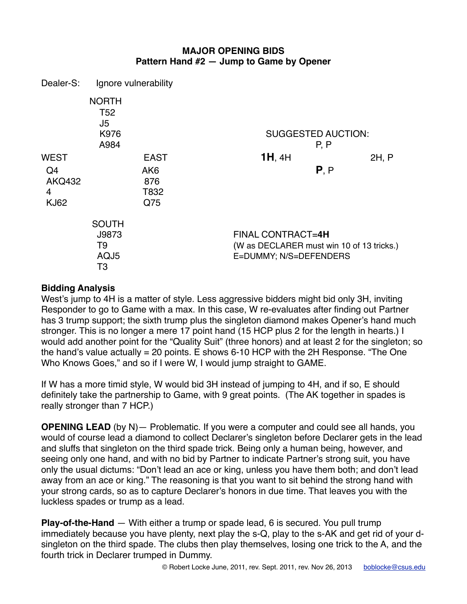# **MAJOR OPENING BIDS Pattern Hand #2 — Jump to Game by Opener**

| Dealer-S:                               | Ignore vulnerability                                  |                                       |                                                                                                 |                                   |       |
|-----------------------------------------|-------------------------------------------------------|---------------------------------------|-------------------------------------------------------------------------------------------------|-----------------------------------|-------|
|                                         | <b>NORTH</b><br>T <sub>52</sub><br>J5<br>K976<br>A984 |                                       |                                                                                                 | <b>SUGGESTED AUCTION:</b><br>P, P |       |
| <b>WEST</b>                             |                                                       | <b>EAST</b>                           | $1H$ , $4H$                                                                                     |                                   | 2H, P |
| Q4<br><b>AKQ432</b><br>4<br><b>KJ62</b> |                                                       | AK <sub>6</sub><br>876<br>T832<br>Q75 |                                                                                                 | P, P                              |       |
|                                         | <b>SOUTH</b><br>J9873<br>T9<br>AQJ5<br>T3             |                                       | <b>FINAL CONTRACT=4H</b><br>(W as DECLARER must win 10 of 13 tricks.)<br>E=DUMMY; N/S=DEFENDERS |                                   |       |

# **Bidding Analysis**

West's jump to 4H is a matter of style. Less aggressive bidders might bid only 3H, inviting Responder to go to Game with a max. In this case, W re-evaluates after finding out Partner has 3 trump support; the sixth trump plus the singleton diamond makes Opener's hand much stronger. This is no longer a mere 17 point hand (15 HCP plus 2 for the length in hearts.) I would add another point for the "Quality Suit" (three honors) and at least 2 for the singleton; so the hand's value actually = 20 points. E shows 6-10 HCP with the 2H Response. "The One Who Knows Goes," and so if I were W, I would jump straight to GAME.

If W has a more timid style, W would bid 3H instead of jumping to 4H, and if so, E should definitely take the partnership to Game, with 9 great points. (The AK together in spades is really stronger than 7 HCP.)

**OPENING LEAD** (by N)— Problematic. If you were a computer and could see all hands, you would of course lead a diamond to collect Declarer's singleton before Declarer gets in the lead and sluffs that singleton on the third spade trick. Being only a human being, however, and seeing only one hand, and with no bid by Partner to indicate Partner's strong suit, you have only the usual dictums: "Don't lead an ace or king, unless you have them both; and don't lead away from an ace or king." The reasoning is that you want to sit behind the strong hand with your strong cards, so as to capture Declarer's honors in due time. That leaves you with the luckless spades or trump as a lead.

**Play-of-the-Hand** — With either a trump or spade lead, 6 is secured. You pull trump immediately because you have plenty, next play the s-Q, play to the s-AK and get rid of your dsingleton on the third spade. The clubs then play themselves, losing one trick to the A, and the fourth trick in Declarer trumped in Dummy.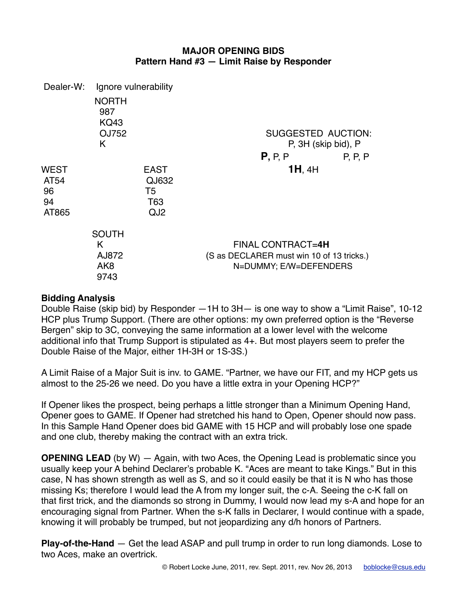### **MAJOR OPENING BIDS Pattern Hand #3 — Limit Raise by Responder**

| Dealer-W:                         | Ignore vulnerability                                  |                                                      |                                                                                          |         |
|-----------------------------------|-------------------------------------------------------|------------------------------------------------------|------------------------------------------------------------------------------------------|---------|
|                                   | <b>NORTH</b><br>987<br><b>KQ43</b>                    |                                                      |                                                                                          |         |
|                                   | OJ752                                                 |                                                      | SUGGESTED AUCTION:                                                                       |         |
|                                   | K                                                     |                                                      | P, 3H (skip bid), P                                                                      |         |
|                                   |                                                       |                                                      | P, P, P                                                                                  | P, P, P |
| WEST<br>AT54<br>96<br>94<br>AT865 |                                                       | <b>EAST</b><br>QJ632<br>T5<br>T63<br>QJ <sub>2</sub> | $1H$ , $4H$                                                                              |         |
|                                   | <b>SOUTH</b><br>K<br>AJ872<br>AK <sub>8</sub><br>9743 |                                                      | FINAL CONTRACT=4H<br>(S as DECLARER must win 10 of 13 tricks.)<br>N=DUMMY; E/W=DEFENDERS |         |

# **Bidding Analysis**

Double Raise (skip bid) by Responder —1H to 3H— is one way to show a "Limit Raise", 10-12 HCP plus Trump Support. (There are other options: my own preferred option is the "Reverse Bergen" skip to 3C, conveying the same information at a lower level with the welcome additional info that Trump Support is stipulated as 4+. But most players seem to prefer the Double Raise of the Major, either 1H-3H or 1S-3S.)

A Limit Raise of a Major Suit is inv. to GAME. "Partner, we have our FIT, and my HCP gets us almost to the 25-26 we need. Do you have a little extra in your Opening HCP?"

If Opener likes the prospect, being perhaps a little stronger than a Minimum Opening Hand, Opener goes to GAME. If Opener had stretched his hand to Open, Opener should now pass. In this Sample Hand Opener does bid GAME with 15 HCP and will probably lose one spade and one club, thereby making the contract with an extra trick.

**OPENING LEAD** (by W) — Again, with two Aces, the Opening Lead is problematic since you usually keep your A behind Declarer's probable K. "Aces are meant to take Kings." But in this case, N has shown strength as well as S, and so it could easily be that it is N who has those missing Ks; therefore I would lead the A from my longer suit, the c-A. Seeing the c-K fall on that first trick, and the diamonds so strong in Dummy, I would now lead my s-A and hope for an encouraging signal from Partner. When the s-K falls in Declarer, I would continue with a spade, knowing it will probably be trumped, but not jeopardizing any d/h honors of Partners.

**Play-of-the-Hand** — Get the lead ASAP and pull trump in order to run long diamonds. Lose to two Aces, make an overtrick.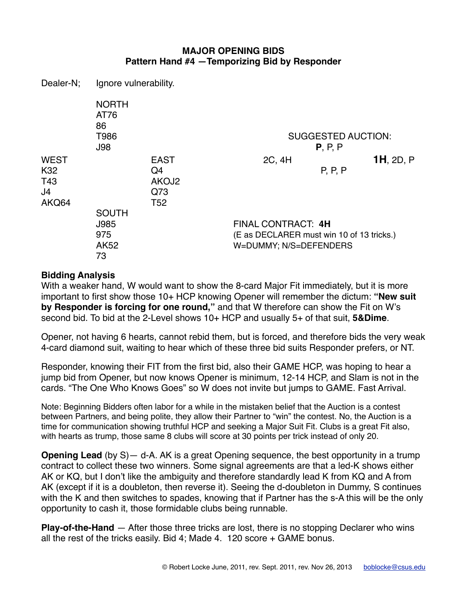# **MAJOR OPENING BIDS Pattern Hand #4 —Temporizing Bid by Responder**

Dealer-N; Ignore vulnerability.

|                                                      | <b>NORTH</b><br>AT76<br>86<br>T986<br><b>J98</b> |                                                      |                                                                                           | <b>SUGGESTED AUCTION:</b><br>P, P, P |              |
|------------------------------------------------------|--------------------------------------------------|------------------------------------------------------|-------------------------------------------------------------------------------------------|--------------------------------------|--------------|
| <b>WEST</b><br>K <sub>32</sub><br>T43<br>J4<br>AKQ64 |                                                  | <b>EAST</b><br>Q4<br>AKOJ2<br>Q73<br>T <sub>52</sub> | 2C, 4H                                                                                    | P, P, P                              | $1H$ , 2D, P |
|                                                      | <b>SOUTH</b><br>J985<br>975<br>AK52<br>73        |                                                      | FINAL CONTRACT: 4H<br>(E as DECLARER must win 10 of 13 tricks.)<br>W=DUMMY; N/S=DEFENDERS |                                      |              |

#### **Bidding Analysis**

With a weaker hand, W would want to show the 8-card Major Fit immediately, but it is more important to first show those 10+ HCP knowing Opener will remember the dictum: **"New suit by Responder is forcing for one round,"** and that W therefore can show the Fit on W's second bid. To bid at the 2-Level shows 10+ HCP and usually 5+ of that suit, **5&Dime**.

Opener, not having 6 hearts, cannot rebid them, but is forced, and therefore bids the very weak 4-card diamond suit, waiting to hear which of these three bid suits Responder prefers, or NT.

Responder, knowing their FIT from the first bid, also their GAME HCP, was hoping to hear a jump bid from Opener, but now knows Opener is minimum, 12-14 HCP, and Slam is not in the cards. "The One Who Knows Goes" so W does not invite but jumps to GAME. Fast Arrival.

Note: Beginning Bidders often labor for a while in the mistaken belief that the Auction is a contest between Partners, and being polite, they allow their Partner to "win" the contest. No, the Auction is a time for communication showing truthful HCP and seeking a Major Suit Fit. Clubs is a great Fit also, with hearts as trump, those same 8 clubs will score at 30 points per trick instead of only 20.

**Opening Lead** (by S) — d-A. AK is a great Opening sequence, the best opportunity in a trump contract to collect these two winners. Some signal agreements are that a led-K shows either AK or KQ, but I don't like the ambiguity and therefore standardly lead K from KQ and A from AK (except if it is a doubleton, then reverse it). Seeing the d-doubleton in Dummy, S continues with the K and then switches to spades, knowing that if Partner has the s-A this will be the only opportunity to cash it, those formidable clubs being runnable.

**Play-of-the-Hand** — After those three tricks are lost, there is no stopping Declarer who wins all the rest of the tricks easily. Bid 4; Made 4. 120 score + GAME bonus.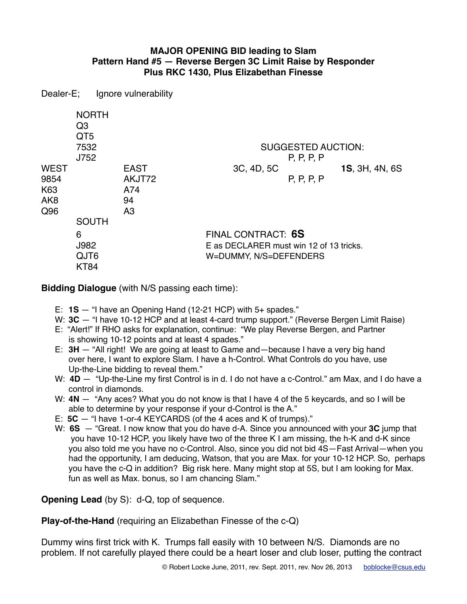# **MAJOR OPENING BID leading to Slam Pattern Hand #5 — Reverse Bergen 3C Limit Raise by Responder Plus RKC 1430, Plus Elizabethan Finesse**

Dealer-E; Ignore vulnerability

| <b>WEST</b>                           | <b>NORTH</b><br>Q <sub>3</sub><br>QT <sub>5</sub><br>7532<br>J752 | <b>EAST</b>                           | <b>SUGGESTED AUCTION:</b><br>P, P, P, P<br>3C, 4D, 5C                                   | 1S, 3H, 4N, 6S |
|---------------------------------------|-------------------------------------------------------------------|---------------------------------------|-----------------------------------------------------------------------------------------|----------------|
| 9854<br>K63<br>AK <sub>8</sub><br>Q96 | <b>SOUTH</b>                                                      | AKJT72<br>A74<br>94<br>A <sub>3</sub> | P, P, P, P                                                                              |                |
|                                       | 6<br>J982<br>QJT6<br><b>KT84</b>                                  |                                       | FINAL CONTRACT: 6S<br>E as DECLARER must win 12 of 13 tricks.<br>W=DUMMY, N/S=DEFENDERS |                |

**Bidding Dialogue** (with N/S passing each time):

- E: **1S**  "I have an Opening Hand (12-21 HCP) with 5+ spades."
- W: **3C**  $-$  "I have 10-12 HCP and at least 4-card trump support." (Reverse Bergen Limit Raise)
- E: "Alert!" If RHO asks for explanation, continue: "We play Reverse Bergen, and Partner is showing 10-12 points and at least 4 spades."
- E: **3H**  "All right! We are going at least to Game and—because I have a very big hand over here, I want to explore Slam. I have a h-Control. What Controls do you have, use Up-the-Line bidding to reveal them."
- W: **4D**  $-$  "Up-the-Line my first Control is in d. I do not have a c-Control." am Max, and I do have a control in diamonds
- W: **4N** "Any aces? What you do not know is that I have 4 of the 5 keycards, and so I will be able to determine by your response if your d-Control is the A."
- E: **5C**  "I have 1-or-4 KEYCARDS (of the 4 aces and K of trumps)."
- W: **6S**  "Great. I now know that you do have d-A. Since you announced with your **3C** jump that you have 10-12 HCP, you likely have two of the three K I am missing, the h-K and d-K since you also told me you have no c-Control. Also, since you did not bid 4S—Fast Arrival—when you had the opportunity, I am deducing, Watson, that you are Max. for your 10-12 HCP. So, perhaps you have the c-Q in addition? Big risk here. Many might stop at 5S, but I am looking for Max. fun as well as Max. bonus, so I am chancing Slam."

**Opening Lead** (by S): d-Q, top of sequence.

**Play-of-the-Hand** (requiring an Elizabethan Finesse of the c-Q)

Dummy wins first trick with K. Trumps fall easily with 10 between N/S. Diamonds are no problem. If not carefully played there could be a heart loser and club loser, putting the contract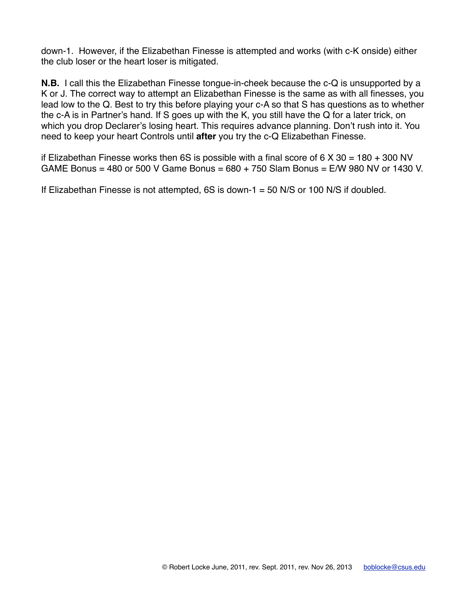down-1. However, if the Elizabethan Finesse is attempted and works (with c-K onside) either the club loser or the heart loser is mitigated.

**N.B.** I call this the Elizabethan Finesse tongue-in-cheek because the c-Q is unsupported by a K or J. The correct way to attempt an Elizabethan Finesse is the same as with all finesses, you lead low to the Q. Best to try this before playing your c-A so that S has questions as to whether the c-A is in Partner's hand. If S goes up with the K, you still have the Q for a later trick, on which you drop Declarer's losing heart. This requires advance planning. Don't rush into it. You need to keep your heart Controls until **after** you try the c-Q Elizabethan Finesse.

if Elizabethan Finesse works then 6S is possible with a final score of 6  $\times$  30 = 180 + 300 NV GAME Bonus = 480 or 500 V Game Bonus = 680 + 750 Slam Bonus = E/W 980 NV or 1430 V.

If Elizabethan Finesse is not attempted,  $6S$  is down-1 = 50 N/S or 100 N/S if doubled.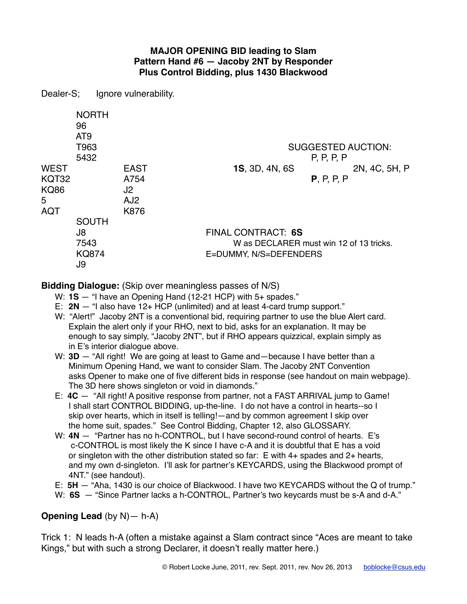# **MAJOR OPENING BID leading to Slam Pattern Hand #6 — Jacoby 2NT by Responder Plus Control Bidding, plus 1430 Blackwood**

Dealer-S; Ignore vulnerability.

|                                                        | <b>NORTH</b><br>96<br>AT <sub>9</sub><br>T963<br>5432 |                                                      |                                                                                         | <b>SUGGESTED AUCTION:</b><br>P, P, P, P |               |
|--------------------------------------------------------|-------------------------------------------------------|------------------------------------------------------|-----------------------------------------------------------------------------------------|-----------------------------------------|---------------|
| <b>WEST</b><br>KQT32<br><b>KQ86</b><br>5<br><b>AQT</b> |                                                       | <b>EAST</b><br>A754<br>J2<br>AJ <sub>2</sub><br>K876 | <b>1S, 3D, 4N, 6S</b>                                                                   | P, P, P, P                              | 2N, 4C, 5H, P |
|                                                        | <b>SOUTH</b><br>J8<br>7543<br><b>KQ874</b><br>J9      |                                                      | FINAL CONTRACT: 6S<br>W as DECLARER must win 12 of 13 tricks.<br>E=DUMMY, N/S=DEFENDERS |                                         |               |

**Bidding Dialogue:** (Skip over meaningless passes of N/S)

- W: **1S** "I have an Opening Hand (12-21 HCP) with 5+ spades."
- E: **2N**  "I also have 12+ HCP (unlimited) and at least 4-card trump support."
- W: "Alert!" Jacoby 2NT is a conventional bid, requiring partner to use the blue Alert card. Explain the alert only if your RHO, next to bid, asks for an explanation. It may be enough to say simply, "Jacoby 2NT", but if RHO appears quizzical, explain simply as in E's interior dialogue above.
- W: **3D** "All right! We are going at least to Game and—because I have better than a Minimum Opening Hand, we want to consider Slam. The Jacoby 2NT Convention asks Opener to make one of five different bids in response (see handout on main webpage). The 3D here shows singleton or void in diamonds."
- E: **4C**  "All right! A positive response from partner, not a FAST ARRIVAL jump to Game! I shall start CONTROL BIDDING, up-the-line. I do not have a control in hearts--so I skip over hearts, which in itself is telling!—and by common agreement I skip over the home suit, spades." See Control Bidding, Chapter 12, also GLOSSARY.
- W: 4N  $-$  "Partner has no h-CONTROL, but I have second-round control of hearts. E's c-CONTROL is most likely the K since I have c-A and it is doubtful that E has a void or singleton with the other distribution stated so far:  $E$  with 4+ spades and 2+ hearts, and my own d-singleton. I'll ask for partner's KEYCARDS, using the Blackwood prompt of 4NT." (see handout).
- E: **5H**  "Aha, 1430 is our choice of Blackwood. I have two KEYCARDS without the Q of trump."
- W: **6S**  $-$  "Since Partner lacks a h-CONTROL, Partner's two keycards must be s-A and d-A."

# **Opening Lead** (by N)— h-A)

Trick 1: N leads h-A (often a mistake against a Slam contract since "Aces are meant to take Kings," but with such a strong Declarer, it doesn't really matter here.)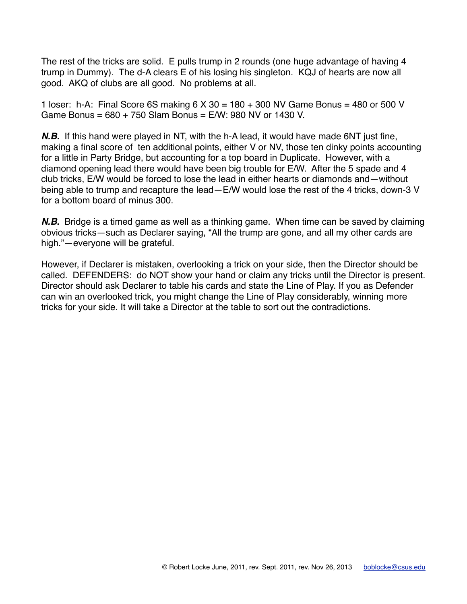The rest of the tricks are solid. E pulls trump in 2 rounds (one huge advantage of having 4 trump in Dummy). The d-A clears E of his losing his singleton. KQJ of hearts are now all good. AKQ of clubs are all good. No problems at all.

1 loser: h-A: Final Score 6S making 6 X 30 = 180 + 300 NV Game Bonus = 480 or 500 V Game Bonus = 680 + 750 Slam Bonus = E/W: 980 NV or 1430 V.

*N.B.* If this hand were played in NT, with the h-A lead, it would have made 6NT just fine, making a final score of ten additional points, either V or NV, those ten dinky points accounting for a little in Party Bridge, but accounting for a top board in Duplicate. However, with a diamond opening lead there would have been big trouble for E/W. After the 5 spade and 4 club tricks, E/W would be forced to lose the lead in either hearts or diamonds and—without being able to trump and recapture the lead—E/W would lose the rest of the 4 tricks, down-3 V for a bottom board of minus 300.

*N.B.* Bridge is a timed game as well as a thinking game. When time can be saved by claiming obvious tricks—such as Declarer saying, "All the trump are gone, and all my other cards are high."—everyone will be grateful.

However, if Declarer is mistaken, overlooking a trick on your side, then the Director should be called. DEFENDERS: do NOT show your hand or claim any tricks until the Director is present. Director should ask Declarer to table his cards and state the Line of Play. If you as Defender can win an overlooked trick, you might change the Line of Play considerably, winning more tricks for your side. It will take a Director at the table to sort out the contradictions.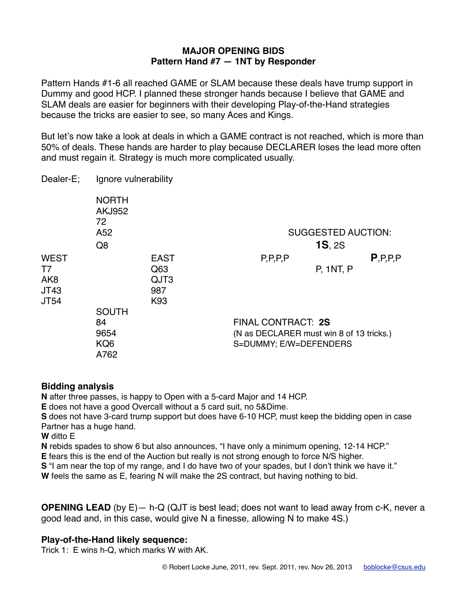### **MAJOR OPENING BIDS Pattern Hand #7 — 1NT by Responder**

Pattern Hands #1-6 all reached GAME or SLAM because these deals have trump support in Dummy and good HCP. I planned these stronger hands because I believe that GAME and SLAM deals are easier for beginners with their developing Play-of-the-Hand strategies because the tricks are easier to see, so many Aces and Kings.

But let's now take a look at deals in which a GAME contract is not reached, which is more than 50% of deals. These hands are harder to play because DECLARER loses the lead more often and must regain it. Strategy is much more complicated usually.

| Dealer-E; | Ignore vulnerability |
|-----------|----------------------|
|-----------|----------------------|

|                                                             | <b>NORTH</b><br><b>AKJ952</b><br>72<br>A <sub>52</sub> |                                          |                                                                                          | <b>SUGGESTED AUCTION:</b> |            |
|-------------------------------------------------------------|--------------------------------------------------------|------------------------------------------|------------------------------------------------------------------------------------------|---------------------------|------------|
|                                                             | Q <sub>8</sub>                                         |                                          |                                                                                          | <b>1S, 2S</b>             |            |
| <b>WEST</b><br>T7<br>AK <sub>8</sub><br>JT43<br><b>JT54</b> | <b>SOUTH</b>                                           | <b>EAST</b><br>Q63<br>QJT3<br>987<br>K93 | P, P, P, P                                                                               | <b>P. 1NT, P.</b>         | P, P, P, P |
|                                                             | 84<br>9654<br>KQ <sub>6</sub><br>A762                  |                                          | FINAL CONTRACT: 2S<br>(N as DECLARER must win 8 of 13 tricks.)<br>S=DUMMY; E/W=DEFENDERS |                           |            |

# **Bidding analysis**

**N** after three passes, is happy to Open with a 5-card Major and 14 HCP.

**E** does not have a good Overcall without a 5 card suit, no 5&Dime.

**S** does not have 3-card trump support but does have 6-10 HCP, must keep the bidding open in case Partner has a huge hand.

**W** ditto E

**N** rebids spades to show 6 but also announces, "I have only a minimum opening, 12-14 HCP."

**E** fears this is the end of the Auction but really is not strong enough to force N/S higher.

**S** "I am near the top of my range, and I do have two of your spades, but I don't think we have it."

**W** feels the same as E, fearing N will make the 2S contract, but having nothing to bid.

**OPENING LEAD** (by E) - h-Q (QJT is best lead; does not want to lead away from c-K, never a good lead and, in this case, would give N a finesse, allowing N to make 4S.)

# **Play-of-the-Hand likely sequence:**

Trick 1: E wins h-Q, which marks W with AK.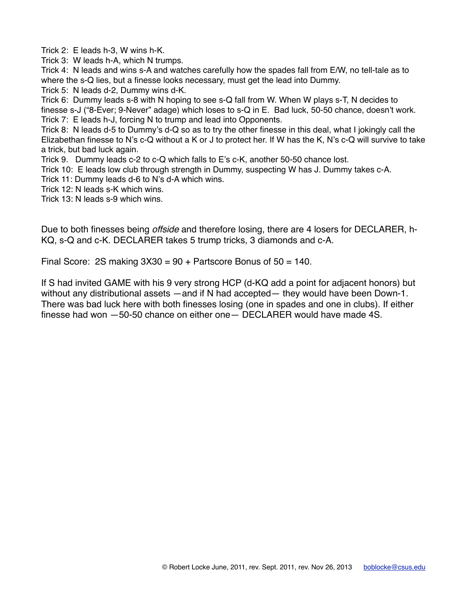Trick 2: E leads h-3, W wins h-K.

Trick 3: W leads h-A, which N trumps.

Trick 4: N leads and wins s-A and watches carefully how the spades fall from E/W, no tell-tale as to where the s-Q lies, but a finesse looks necessary, must get the lead into Dummy.

Trick 5: N leads d-2, Dummy wins d-K.

Trick 6: Dummy leads s-8 with N hoping to see s-Q fall from W. When W plays s-T, N decides to

finesse s-J ("8-Ever; 9-Never" adage) which loses to s-Q in E. Bad luck, 50-50 chance, doesn't work. Trick 7: E leads h-J, forcing N to trump and lead into Opponents.

Trick 8: N leads d-5 to Dummy's d-Q so as to try the other finesse in this deal, what I jokingly call the Elizabethan finesse to N's c-Q without a K or J to protect her. If W has the K, N's c-Q will survive to take a trick, but bad luck again.

Trick 9. Dummy leads c-2 to c-Q which falls to E's c-K, another 50-50 chance lost.

Trick 10: E leads low club through strength in Dummy, suspecting W has J. Dummy takes c-A.

Trick 11: Dummy leads d-6 to N's d-A which wins.

Trick 12: N leads s-K which wins.

Trick 13: N leads s-9 which wins.

Due to both finesses being *offside* and therefore losing, there are 4 losers for DECLARER, h-KQ, s-Q and c-K. DECLARER takes 5 trump tricks, 3 diamonds and c-A.

Final Score: 2S making  $3X30 = 90 +$  Partscore Bonus of  $50 = 140$ .

If S had invited GAME with his 9 very strong HCP (d-KQ add a point for adjacent honors) but without any distributional assets —and if N had accepted— they would have been Down-1. There was bad luck here with both finesses losing (one in spades and one in clubs). If either finesse had won —50-50 chance on either one— DECLARER would have made 4S.